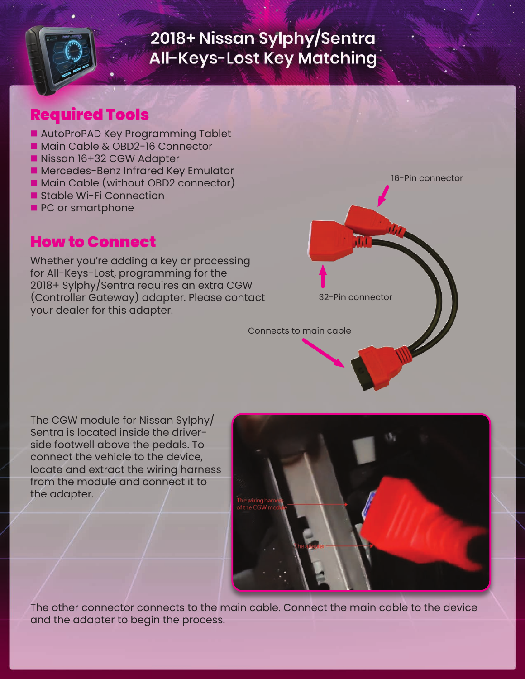

### Required Tools

- AutoProPAD Key Programming Tablet
- Main Cable & OBD2-16 Connector
- Nissan 16+32 CGW Adapter
- **n** Mercedes-Benz Infrared Key Emulator
- Main Cable (without OBD2 connector)
- Stable Wi-Fi Connection
- **PC or smartphone**

#### How to Connect

Whether you're adding a key or processing for All-Keys-Lost, programming for the 2018+ Sylphy/Sentra requires an extra CGW (Controller Gateway) adapter. Please contact your dealer for this adapter.

16-Pin connector

Connects to main cable

The CGW module for Nissan Sylphy/ Sentra is located inside the driverside footwell above the pedals. To connect the vehicle to the device, locate and extract the wiring harness from the module and connect it to the adapter.



32-Pin connector

The other connector connects to the main cable. Connect the main cable to the device and the adapter to begin the process.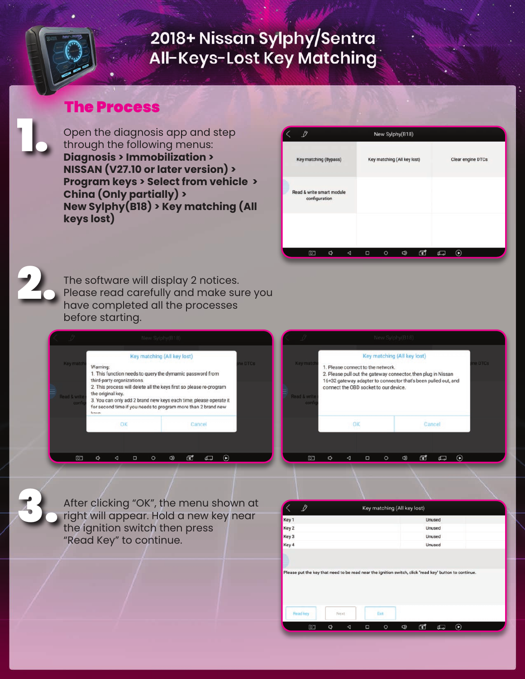#### The Process

Open the diagnosis app and step through the following menus: **Diagnosis > Immobilization > NISSAN (V27.10 or later version) > Program keys > Select from vehicle > China (Only partially) > New Sylphy(B18) > Key matching (All keys lost)**





1.

The software will display 2 notices. Please read carefully and make sure you have completed all the processes before starting.

|                                   |                                                                                                                                                                                                                                                                                                                                            |    |   | New Sylphy(B18)             |  |  |        |  |                |  |
|-----------------------------------|--------------------------------------------------------------------------------------------------------------------------------------------------------------------------------------------------------------------------------------------------------------------------------------------------------------------------------------------|----|---|-----------------------------|--|--|--------|--|----------------|--|
| Key match                         | Warning:                                                                                                                                                                                                                                                                                                                                   |    |   | Key matching (All key lost) |  |  |        |  | <b>1e DTCs</b> |  |
| <b>Read &amp; write</b><br>config | 1. This function needs to query the dymamic password from<br>third-party organizations.<br>2. This process will delete all the keys first so please re-program<br>the original key.<br>3. You can only add 2 brand new keys each time, please operate it<br>for second time if you needs to program more than 2 brand new<br><b>Lonson</b> |    |   |                             |  |  |        |  |                |  |
|                                   |                                                                                                                                                                                                                                                                                                                                            | OK |   |                             |  |  | Cancel |  |                |  |
|                                   |                                                                                                                                                                                                                                                                                                                                            |    |   |                             |  |  |        |  |                |  |
| எ                                 |                                                                                                                                                                                                                                                                                                                                            |    | ⊓ |                             |  |  |        |  |                |  |
|                                   |                                                                                                                                                                                                                                                                                                                                            |    |   |                             |  |  |        |  |                |  |

|                                            |   |                                                                                                                                                                                                                                              |   |         | New Sylphy(B18) |   |        |  |  |  |
|--------------------------------------------|---|----------------------------------------------------------------------------------------------------------------------------------------------------------------------------------------------------------------------------------------------|---|---------|-----------------|---|--------|--|--|--|
| <b>Key match</b><br>Read & write<br>config |   | Key matching (All key lost)<br>1. Please connect to the network.<br>2. Please pull out the gateway connector, then plug in Nissan<br>16+32 gateway adapter to connector that's been pulled out, and<br>connect the OBD socket to our device. |   |         |                 |   |        |  |  |  |
|                                            |   | OK                                                                                                                                                                                                                                           |   |         |                 |   | Cancel |  |  |  |
| q                                          | n | ⊲                                                                                                                                                                                                                                            | Ο | $\circ$ | රා              | 団 | ₫      |  |  |  |



After clicking "OK", the menu shown at right will appear. Hold a new key near the ignition switch then press "Read Key" to continue.

| Key 1    |              | Unused                                                                                                 |  |
|----------|--------------|--------------------------------------------------------------------------------------------------------|--|
|          |              |                                                                                                        |  |
| Key 2    |              | Unused                                                                                                 |  |
| Key 3    |              | Unused                                                                                                 |  |
| Key 4    |              | Unused                                                                                                 |  |
|          |              | Please put the key that need to be read near the ignition switch, click "read key" button to continue. |  |
|          |              |                                                                                                        |  |
| Read key | Exit<br>Next |                                                                                                        |  |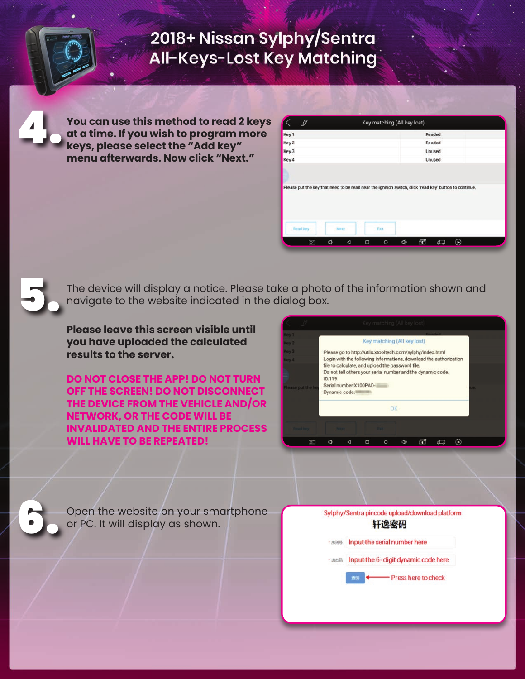**You can use this method to read 2 keys at a time. If you wish to program more keys, please select the "Add key" menu afterwards. Now click "Next."**

| $\mathscr{D}$    |      | Key matching (All key lost) |        |  |
|------------------|------|-----------------------------|--------|--|
| Key <sub>1</sub> |      |                             | Readed |  |
| Key 2            |      |                             | Readed |  |
| Key 3            |      |                             | Unused |  |
| Key 4            |      |                             | Unused |  |
|                  |      |                             |        |  |
|                  |      |                             |        |  |
| Read key         | Next | Exit                        |        |  |

The device will display a notice. Please take a photo of the information shown and navigate to the website indicated in the dialog box.

**Please leave this screen visible until you have uploaded the calculated results to the server.** 

**DO NOT CLOSE THE APP! DO NOT TURN OFF THE SCREEN! DO NOT DISCONNECT THE DEVICE FROM THE VEHICLE AND/OR NETWORK, OR THE CODE WILL BE INVALIDATED AND THE ENTIRE PROCESS WILL HAVE TO BE REPEATED!**

| <b>Danslan</b><br>Key 1<br>Key matching (All key lost)<br>Key 2<br>Key 3<br>Please go to http://utils.xtooltech.com/sylphy/index.html<br>Login with the following informations, download the authorization<br>Key 4<br>file to calculate, and upload the password file. | Key matching (All key lost) |  |  |  |  |  |  |  |  |  |  |  |
|-------------------------------------------------------------------------------------------------------------------------------------------------------------------------------------------------------------------------------------------------------------------------|-----------------------------|--|--|--|--|--|--|--|--|--|--|--|
|                                                                                                                                                                                                                                                                         |                             |  |  |  |  |  |  |  |  |  |  |  |
|                                                                                                                                                                                                                                                                         |                             |  |  |  |  |  |  |  |  |  |  |  |
| Do not tell others your serial number and the dynamic code.<br>ID:119<br>Serial number: X100PAD-<br>Please put the ke<br>Dynamic code:                                                                                                                                  |                             |  |  |  |  |  |  |  |  |  |  |  |
| OK                                                                                                                                                                                                                                                                      |                             |  |  |  |  |  |  |  |  |  |  |  |
| <b>Read key</b><br><b>Part of 1</b>                                                                                                                                                                                                                                     |                             |  |  |  |  |  |  |  |  |  |  |  |
| С<br>ā<br>Ω<br>ब्रा<br>O<br>a                                                                                                                                                                                                                                           |                             |  |  |  |  |  |  |  |  |  |  |  |

6.

4.

5.

Open the website on your smartphone or PC. It will display as shown.

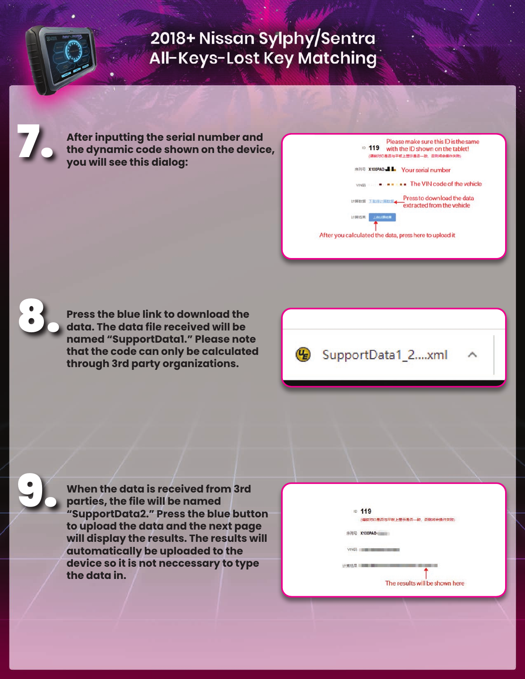**After inputting the serial number and the dynamic code shown on the device, you will see this dialog:**

|      | Please make sure this ID is the same<br>D 119<br>with the ID shown on the tablet!<br>(请検対ID是否与平板上显示是否一致,否则将会提作失败) |
|------|-------------------------------------------------------------------------------------------------------------------|
|      | X100PAD- <b>H</b> Your serial number                                                                              |
|      | $\bullet$ $\bullet$ The VIN code of the vehicle                                                                   |
|      | Press to download the data<br>计算数据 下提持计算数据<br>extracted from the vehicle                                          |
| 计算结果 | 上传计算结果                                                                                                            |
|      | fter you calculated the data, press here to upload it                                                             |



9.

7.

**Press the blue link to download the data. The data file received will be named "SupportData1." Please note that the code can only be calculated through 3rd party organizations.**



**When the data is received from 3rd parties, the file will be named "SupportData2." Press the blue button to upload the data and the next page will display the results. The results will automatically be uploaded to the device so it is not neccessary to type the data in.**

| ID. | 119<br>(请核对ID是否与平板上显示是否一致,否则将会操作失败) |
|-----|-------------------------------------|
|     | X100PAD                             |
|     |                                     |
|     |                                     |
|     | The results will be shown here      |